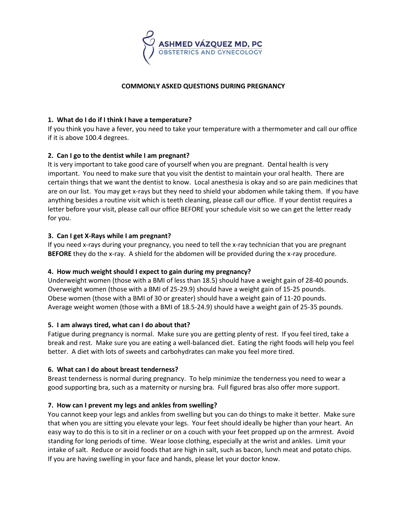

#### **COMMONLY ASKED QUESTIONS DURING PREGNANCY**

## **1. What do I do if I think I have a temperature?**

If you think you have a fever, you need to take your temperature with a thermometer and call our office if it is above 100.4 degrees.

# **2. Can I go to the dentist while I am pregnant?**

It is very important to take good care of yourself when you are pregnant. Dental health is very important. You need to make sure that you visit the dentist to maintain your oral health. There are certain things that we want the dentist to know. Local anesthesia is okay and so are pain medicines that are on our list. You may get x-rays but they need to shield your abdomen while taking them. If you have anything besides a routine visit which is teeth cleaning, please call our office. If your dentist requires a letter before your visit, please call our office BEFORE your schedule visit so we can get the letter ready for you.

# **3. Can I get X-Rays while I am pregnant?**

If you need x-rays during your pregnancy, you need to tell the x-ray technician that you are pregnant **BEFORE** they do the x-ray. A shield for the abdomen will be provided during the x-ray procedure.

# **4. How much weight should I expect to gain during my pregnancy?**

Underweight women (those with a BMI of less than 18.5) should have a weight gain of 28-40 pounds. Overweight women (those with a BMI of 25-29.9) should have a weight gain of 15-25 pounds. Obese women (those with a BMI of 30 or greater) should have a weight gain of 11-20 pounds. Average weight women (those with a BMI of 18.5-24.9) should have a weight gain of 25-35 pounds.

#### **5. I am always tired, what can I do about that?**

Fatigue during pregnancy is normal. Make sure you are getting plenty of rest. If you feel tired, take a break and rest. Make sure you are eating a well-balanced diet. Eating the right foods will help you feel better. A diet with lots of sweets and carbohydrates can make you feel more tired.

#### **6. What can I do about breast tenderness?**

Breast tenderness is normal during pregnancy. To help minimize the tenderness you need to wear a good supporting bra, such as a maternity or nursing bra. Full figured bras also offer more support.

# **7. How can I prevent my legs and ankles from swelling?**

You cannot keep your legs and ankles from swelling but you can do things to make it better. Make sure that when you are sitting you elevate your legs. Your feet should ideally be higher than your heart. An easy way to do this is to sit in a recliner or on a couch with your feet propped up on the armrest. Avoid standing for long periods of time. Wear loose clothing, especially at the wrist and ankles. Limit your intake of salt. Reduce or avoid foods that are high in salt, such as bacon, lunch meat and potato chips. If you are having swelling in your face and hands, please let your doctor know.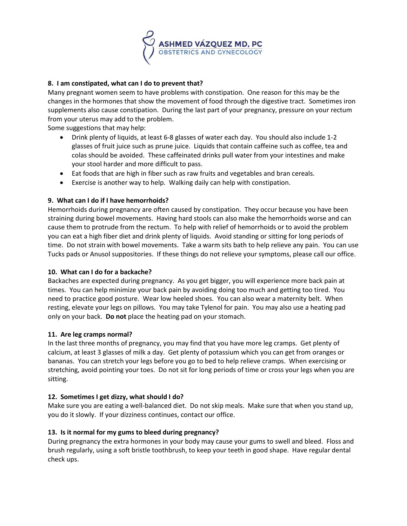

## **8. I am constipated, what can I do to prevent that?**

Many pregnant women seem to have problems with constipation. One reason for this may be the changes in the hormones that show the movement of food through the digestive tract. Sometimes iron supplements also cause constipation. During the last part of your pregnancy, pressure on your rectum from your uterus may add to the problem.

Some suggestions that may help:

- Drink plenty of liquids, at least 6-8 glasses of water each day. You should also include 1-2 glasses of fruit juice such as prune juice. Liquids that contain caffeine such as coffee, tea and colas should be avoided. These caffeinated drinks pull water from your intestines and make your stool harder and more difficult to pass.
- Eat foods that are high in fiber such as raw fruits and vegetables and bran cereals.
- Exercise is another way to help. Walking daily can help with constipation.

## **9. What can I do if I have hemorrhoids?**

Hemorrhoids during pregnancy are often caused by constipation. They occur because you have been straining during bowel movements. Having hard stools can also make the hemorrhoids worse and can cause them to protrude from the rectum. To help with relief of hemorrhoids or to avoid the problem you can eat a high fiber diet and drink plenty of liquids. Avoid standing or sitting for long periods of time. Do not strain with bowel movements. Take a warm sits bath to help relieve any pain. You can use Tucks pads or Anusol suppositories. If these things do not relieve your symptoms, please call our office.

#### **10. What can I do for a backache?**

Backaches are expected during pregnancy. As you get bigger, you will experience more back pain at times. You can help minimize your back pain by avoiding doing too much and getting too tired. You need to practice good posture. Wear low heeled shoes. You can also wear a maternity belt. When resting, elevate your legs on pillows. You may take Tylenol for pain. You may also use a heating pad only on your back. **Do not** place the heating pad on your stomach.

#### **11. Are leg cramps normal?**

In the last three months of pregnancy, you may find that you have more leg cramps. Get plenty of calcium, at least 3 glasses of milk a day. Get plenty of potassium which you can get from oranges or bananas. You can stretch your legs before you go to bed to help relieve cramps. When exercising or stretching, avoid pointing your toes. Do not sit for long periods of time or cross your legs when you are sitting.

#### **12. Sometimes I get dizzy, what should I do?**

Make sure you are eating a well-balanced diet. Do not skip meals. Make sure that when you stand up, you do it slowly. If your dizziness continues, contact our office.

#### **13. Is it normal for my gums to bleed during pregnancy?**

During pregnancy the extra hormones in your body may cause your gums to swell and bleed. Floss and brush regularly, using a soft bristle toothbrush, to keep your teeth in good shape. Have regular dental check ups.